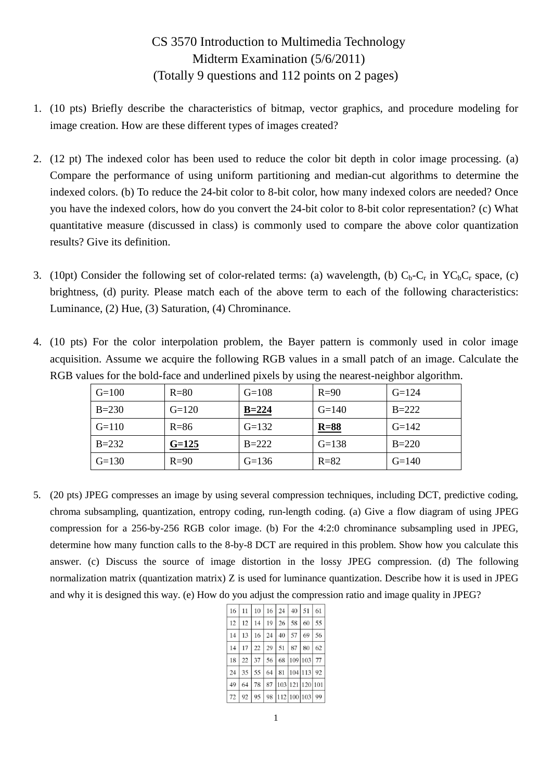## CS 3570 Introduction to Multimedia Technology Midterm Examination (5/6/2011) (Totally 9 questions and 112 points on 2 pages)

- 1. (10 pts) Briefly describe the characteristics of bitmap, vector graphics, and procedure modeling for image creation. How are these different types of images created?
- 2. (12 pt) The indexed color has been used to reduce the color bit depth in color image processing. (a) Compare the performance of using uniform partitioning and median-cut algorithms to determine the indexed colors. (b) To reduce the 24-bit color to 8-bit color, how many indexed colors are needed? Once you have the indexed colors, how do you convert the 24-bit color to 8-bit color representation? (c) What quantitative measure (discussed in class) is commonly used to compare the above color quantization results? Give its definition.
- 3. (10pt) Consider the following set of color-related terms: (a) wavelength, (b)  $C_b-C_r$  in  $YC_bC_r$  space, (c) brightness, (d) purity. Please match each of the above term to each of the following characteristics: Luminance, (2) Hue, (3) Saturation, (4) Chrominance.
- 4. (10 pts) For the color interpolation problem, the Bayer pattern is commonly used in color image acquisition. Assume we acquire the following RGB values in a small patch of an image. Calculate the RGB values for the bold-face and underlined pixels by using the nearest-neighbor algorithm.

| $G=100$   | $R = 80$ | $G=108$   | $R=90$   | $G=124$   |
|-----------|----------|-----------|----------|-----------|
| $B = 230$ | $G=120$  | $B = 224$ | $G=140$  | $B=222$   |
| $G=110$   | $R = 86$ | $G=132$   | $R=88$   | $G=142$   |
| $B = 232$ | $G=125$  | $B = 222$ | $G=138$  | $B = 220$ |
| $G=130$   | $R=90$   | $G=136$   | $R = 82$ | $G=140$   |

5. (20 pts) JPEG compresses an image by using several compression techniques, including DCT, predictive coding, chroma subsampling, quantization, entropy coding, run-length coding. (a) Give a flow diagram of using JPEG compression for a 256-by-256 RGB color image. (b) For the 4:2:0 chrominance subsampling used in JPEG, determine how many function calls to the 8-by-8 DCT are required in this problem. Show how you calculate this answer. (c) Discuss the source of image distortion in the lossy JPEG compression. (d) The following normalization matrix (quantization matrix) Z is used for luminance quantization. Describe how it is used in JPEG and why it is designed this way. (e) How do you adjust the compression ratio and image quality in JPEG?

| 16 |    | $11 \mid 10 \mid 16 \mid 24$ |    |    | 40         | 51                | 61  |
|----|----|------------------------------|----|----|------------|-------------------|-----|
| 12 | 12 | 14                           | 19 | 26 | 58         | 60                | 55  |
| 14 | 13 | 16                           | 24 | 40 | 57         | 69                | 56  |
| 14 | 17 | 22                           | 29 | 51 | 87         | 80                | 62  |
| 18 | 22 | 37 <sup>1</sup>              | 56 |    | 68 109 103 |                   | 77  |
| 24 | 35 | 55                           | 64 |    |            | 81   104   113    | 92  |
| 49 | 64 | 78                           |    |    |            | 87 103 121 120    | 101 |
| 72 | 92 | 95                           |    |    |            | 98 112 100 103 99 |     |